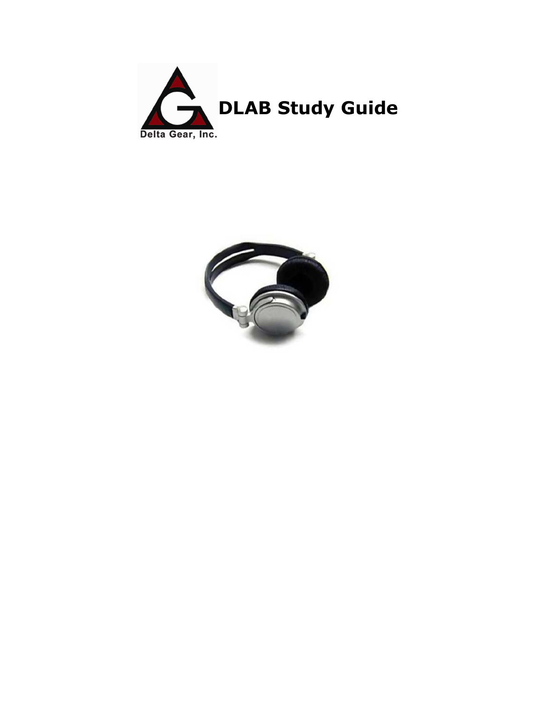

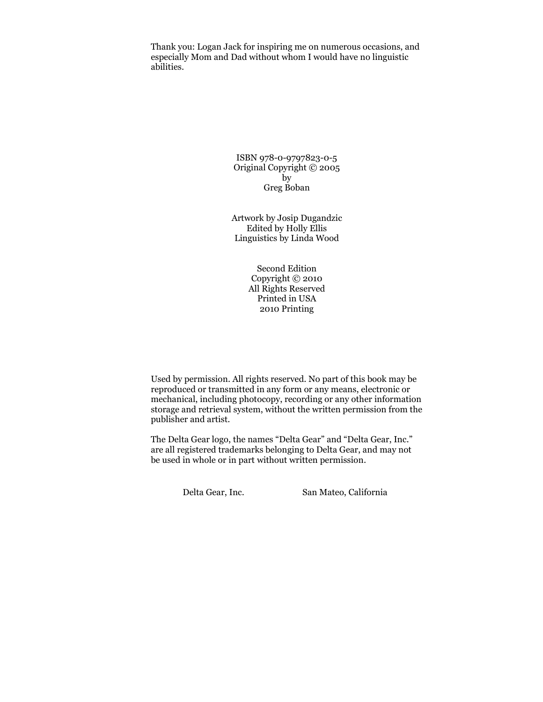Thank you: Logan Jack for inspiring me on numerous occasions, and especially Mom and Dad without whom I would have no linguistic abilities.

> ISBN 978-0-9797823-0-5 Original Copyright © 2005 by Greg Boban

Artwork by Josip Dugandzic Edited by Holly Ellis Linguistics by Linda Wood

> Second Edition Copyright © 2010 All Rights Reserved Printed in USA 2010 Printing

Used by permission. All rights reserved. No part of this book may be reproduced or transmitted in any form or any means, electronic or mechanical, including photocopy, recording or any other information storage and retrieval system, without the written permission from the publisher and artist.

The Delta Gear logo, the names "Delta Gear" and "Delta Gear, Inc." are all registered trademarks belonging to Delta Gear, and may not be used in whole or in part without written permission.

Delta Gear, Inc. San Mateo, California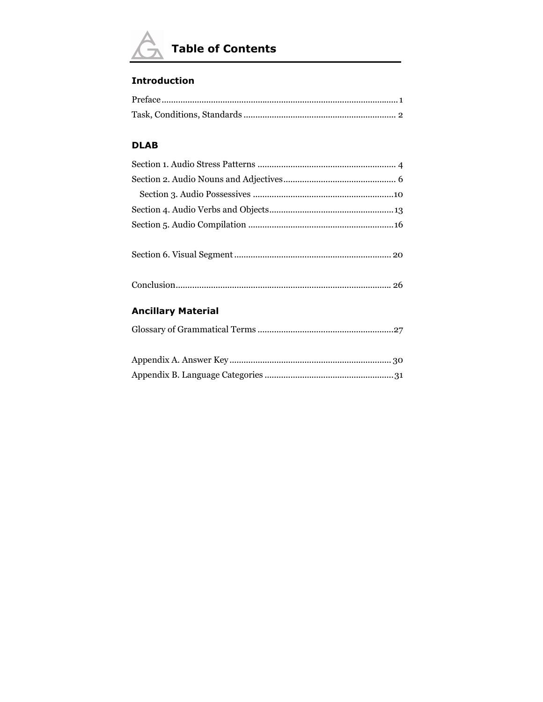

## **Introduction**

# **DLAB**

| <b>Ancillary Material</b> |
|---------------------------|
|                           |
|                           |
|                           |
|                           |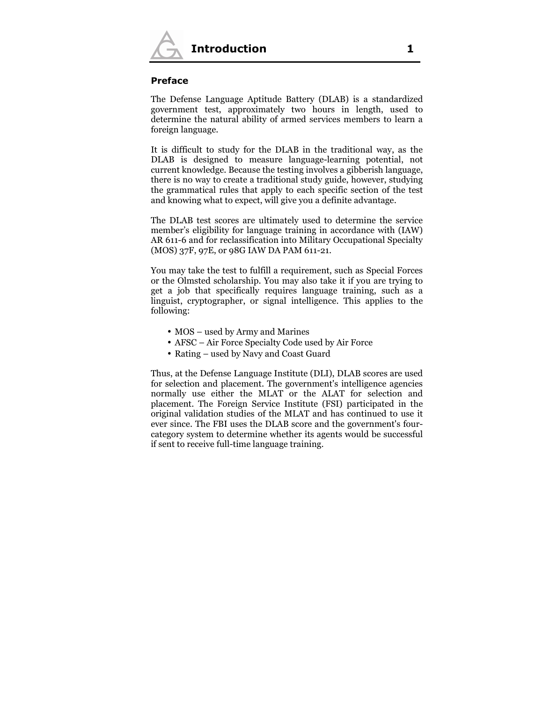

#### Preface

The Defense Language Aptitude Battery (DLAB) is a standardized government test, approximately two hours in length, used to determine the natural ability of armed services members to learn a foreign language.

It is difficult to study for the DLAB in the traditional way, as the DLAB is designed to measure language-learning potential, not current knowledge. Because the testing involves a gibberish language, there is no way to create a traditional study guide, however, studying the grammatical rules that apply to each specific section of the test and knowing what to expect, will give you a definite advantage.

The DLAB test scores are ultimately used to determine the service member's eligibility for language training in accordance with (IAW) AR 611-6 and for reclassification into Military Occupational Specialty (MOS) 37F, 97E, or 98G IAW DA PAM 611-21.

You may take the test to fulfill a requirement, such as Special Forces or the Olmsted scholarship. You may also take it if you are trying to get a job that specifically requires language training, such as a linguist, cryptographer, or signal intelligence. This applies to the following:

- MOS used by Army and Marines
- AFSC Air Force Specialty Code used by Air Force
- Rating used by Navy and Coast Guard

Thus, at the Defense Language Institute (DLI), DLAB scores are used for selection and placement. The government's intelligence agencies normally use either the MLAT or the ALAT for selection and placement. The Foreign Service Institute (FSI) participated in the original validation studies of the MLAT and has continued to use it ever since. The FBI uses the DLAB score and the government's fourcategory system to determine whether its agents would be successful if sent to receive full-time language training.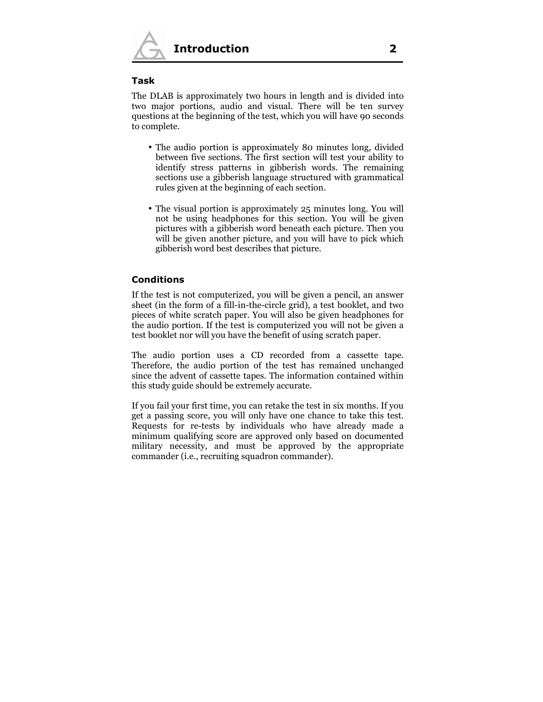

### Task

The DLAB is approximately two hours in length and is divided into two major portions, audio and visual. There will be ten survey questions at the beginning of the test, which you will have 90 seconds to complete.

- The audio portion is approximately 80 minutes long, divided between five sections. The first section will test your ability to identify stress patterns in gibberish words. The remaining sections use a gibberish language structured with grammatical rules given at the beginning of each section.
- The visual portion is approximately 25 minutes long. You will not be using headphones for this section. You will be given pictures with a gibberish word beneath each picture. Then you will be given another picture, and you will have to pick which gibberish word best describes that picture.

### Conditions

If the test is not computerized, you will be given a pencil, an answer sheet (in the form of a fill-in-the-circle grid), a test booklet, and two pieces of white scratch paper. You will also be given headphones for the audio portion. If the test is computerized you will not be given a test booklet nor will you have the benefit of using scratch paper.

The audio portion uses a CD recorded from a cassette tape. Therefore, the audio portion of the test has remained unchanged since the advent of cassette tapes. The information contained within this study guide should be extremely accurate.

If you fail your first time, you can retake the test in six months. If you get a passing score, you will only have one chance to take this test. Requests for re-tests by individuals who have already made a minimum qualifying score are approved only based on documented military necessity, and must be approved by the appropriate commander (i.e., recruiting squadron commander).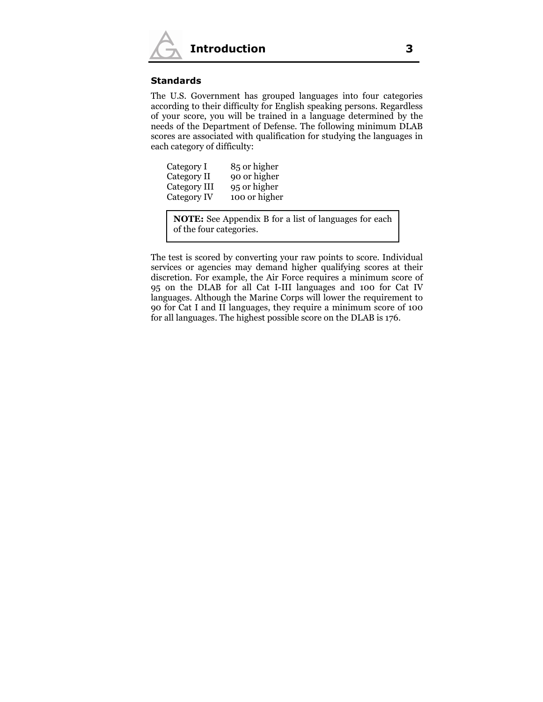

#### Standards

The U.S. Government has grouped languages into four categories according to their difficulty for English speaking persons. Regardless of your score, you will be trained in a language determined by the needs of the Department of Defense. The following minimum DLAB scores are associated with qualification for studying the languages in each category of difficulty:

| Category I   | 85 or higher  |
|--------------|---------------|
| Category II  | 90 or higher  |
| Category III | 95 or higher  |
| Category IV  | 100 or higher |

NOTE: See Appendix B for a list of languages for each of the four categories.

The test is scored by converting your raw points to score. Individual services or agencies may demand higher qualifying scores at their discretion. For example, the Air Force requires a minimum score of 95 on the DLAB for all Cat I-III languages and 100 for Cat IV languages. Although the Marine Corps will lower the requirement to 90 for Cat I and II languages, they require a minimum score of 100 for all languages. The highest possible score on the DLAB is 176.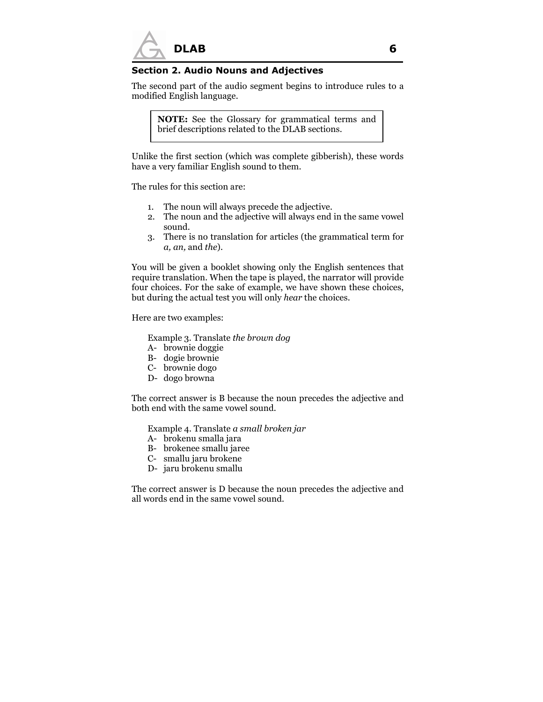

## Section 2. Audio Nouns and Adjectives

The second part of the audio segment begins to introduce rules to a modified English language.

NOTE: See the Glossary for grammatical terms and brief descriptions related to the DLAB sections.

Unlike the first section (which was complete gibberish), these words have a very familiar English sound to them.

The rules for this section are:

- 1. The noun will always precede the adjective.
- 2. The noun and the adjective will always end in the same vowel sound.
- 3. There is no translation for articles (the grammatical term for a, an, and the).

You will be given a booklet showing only the English sentences that require translation. When the tape is played, the narrator will provide four choices. For the sake of example, we have shown these choices, but during the actual test you will only hear the choices.

Here are two examples:

Example 3. Translate the brown dog

- A- brownie doggie
- B- dogie brownie
- C- brownie dogo
- D- dogo browna

The correct answer is B because the noun precedes the adjective and both end with the same vowel sound.

Example 4. Translate a small broken jar

- A- brokenu smalla jara
- B- brokenee smallu jaree
- C- smallu jaru brokene
- D- jaru brokenu smallu

The correct answer is D because the noun precedes the adjective and all words end in the same vowel sound.